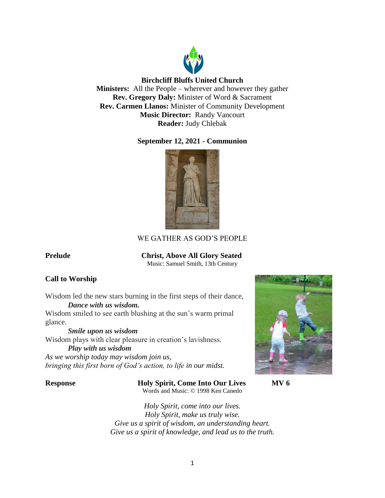

# **Birchcliff Bluffs United Church**

**Ministers:** All the People – wherever and however they gather **Rev. Gregory Daly:** Minister of Word & Sacrament **Rev. Carmen Llanos:** Minister of Community Development **Music Director:** Randy Vancourt **Reader:** Judy Chlebak

# **September 12, 2021 - Communion**



# WE GATHER AS GOD'S PEOPLE

# **Prelude Christ, Above All Glory Seated**

Music: Samuel Smith, 13th Century

# **Call to Worship**

Wisdom led the new stars burning in the first steps of their dance, *Dance with us wisdom.*

Wisdom smiled to see earth blushing at the sun's warm primal glance.

*Smile upon us wisdom*

Wisdom plays with clear pleasure in creation's lavishness.

*Play with us wisdom As we worship today may wisdom join us, bringing this first born of God's action, to life in our midst.*

**Response Holy Spirit, Come Into Our Lives MV 6** Words and Music: © 1998 Ken Canedo



*Holy Spirit, come into our lives. Holy Spirit, make us truly wise. Give us a spirit of wisdom, an understanding heart. Give us a spirit of knowledge, and lead us to the truth.*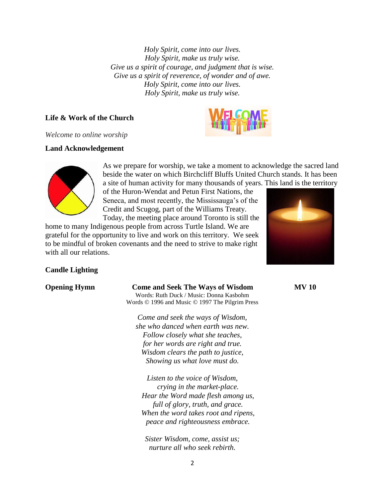*Holy Spirit, come into our lives. Holy Spirit, make us truly wise. Give us a spirit of courage, and judgment that is wise. Give us a spirit of reverence, of wonder and of awe. Holy Spirit, come into our lives. Holy Spirit, make us truly wise.*

# **Life & Work of the Church**



*Welcome to online worship*

# **Land Acknowledgement**



As we prepare for worship, we take a moment to acknowledge the sacred land beside the water on which Birchcliff Bluffs United Church stands. It has been a site of human activity for many thousands of years. This land is the territory

of the Huron-Wendat and Petun First Nations, the Seneca, and most recently, the Mississauga's of the Credit and Scugog, part of the Williams Treaty. Today, the meeting place around Toronto is still the

home to many Indigenous people from across Turtle Island. We are grateful for the opportunity to live and work on this territory. We seek to be mindful of broken covenants and the need to strive to make right with all our relations.



# **Candle Lighting**

### **Opening Hymn Come and Seek The Ways of Wisdom MV 10**

Words: Ruth Duck / Music: Donna Kasbohm Words © 1996 and Music © 1997 The Pilgrim Press

*Come and seek the ways of Wisdom, she who danced when earth was new. Follow closely what she teaches, for her words are right and true. Wisdom clears the path to justice, Showing us what love must do.*

*Listen to the voice of Wisdom, crying in the market-place. Hear the Word made flesh among us, full of glory, truth, and grace. When the word takes root and ripens, peace and righteousness embrace.*

*Sister Wisdom, come, assist us; nurture all who seek rebirth.*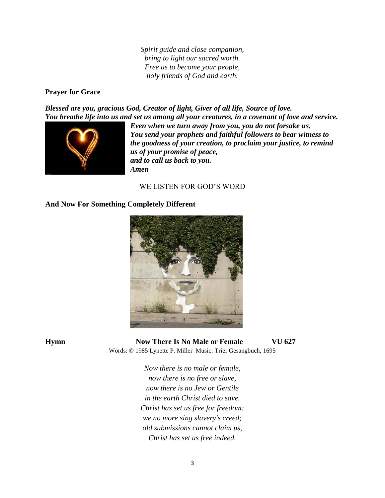*Spirit guide and close companion, bring to light our sacred worth. Free us to become your people, holy friends of God and earth.*

### **Prayer for Grace**

*Blessed are you, gracious God, Creator of light, Giver of all life, Source of love. You breathe life into us and set us among all your creatures, in a covenant of love and service.* 



*Even when we turn away from you, you do not forsake us. You send your prophets and faithful followers to bear witness to the goodness of your creation, to proclaim your justice, to remind us of your promise of peace, and to call us back to you. Amen*

# WE LISTEN FOR GOD'S WORD

## **And Now For Something Completely Different**



**Hymn Now There Is No Male or Female VU 627** Words: © 1985 Lynette P. Miller Music: Trier Gesangbuch, 1695

> *Now there is no male or female, now there is no free or slave, now there is no Jew or Gentile in the earth Christ died to save. Christ has set us free for freedom: we no more sing slavery's creed; old submissions cannot claim us, Christ has set us free indeed.*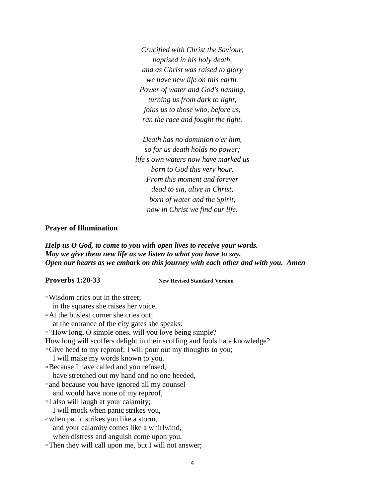*Crucified with Christ the Saviour, baptised in his holy death, and as Christ was raised to glory we have new life on this earth. Power of water and God's naming, turning us from dark to light, joins us to those who, before us, ran the race and fought the fight.*

*Death has no dominion o'er him, so for us death holds no power; life's own waters now have marked us born to God this very hour. From this moment and forever dead to sin, alive in Christ, born of water and the Spirit, now in Christ we find our life.*

#### **Prayer of Illumination**

*Help us O God, to come to you with open lives to receive your words. May we give them new life as we listen to what you have to say. Open our hearts as we embark on this journey with each other and with you. Amen*

**Proverbs 1:20-33** New Revised Standard Version

<sup>20</sup>Wisdom cries out in the street; in the squares she raises her voice. <sup>21</sup>At the busiest corner she cries out; at the entrance of the city gates she speaks: <sup>22</sup> "How long, O simple ones, will you love being simple? How long will scoffers delight in their scoffing and fools hate knowledge? <sup>23</sup>Give heed to my reproof; I will pour out my thoughts to you; I will make my words known to you. <sup>24</sup>Because I have called and you refused, have stretched out my hand and no one heeded, <sup>25</sup> and because you have ignored all my counsel and would have none of my reproof, <sup>26</sup>I also will laugh at your calamity; I will mock when panic strikes you, <sup>27</sup>when panic strikes you like a storm, and your calamity comes like a whirlwind, when distress and anguish come upon you. <sup>28</sup>Then they will call upon me, but I will not answer;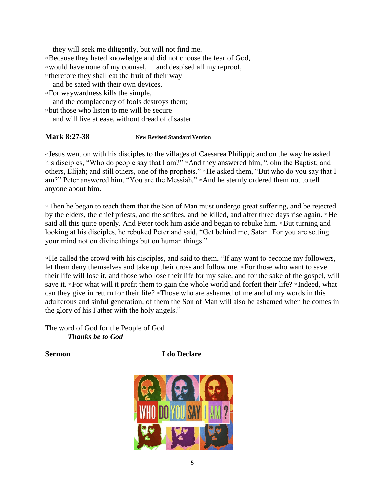they will seek me diligently, but will not find me. <sup>29</sup>Because they hated knowledge and did not choose the fear of God, <sup>30</sup>would have none of my counsel, and despised all my reproof, <sup>31</sup> therefore they shall eat the fruit of their way and be sated with their own devices. <sup>32</sup>For waywardness kills the simple, and the complacency of fools destroys them; <sup>33</sup> but those who listen to me will be secure and will live at ease, without dread of disaster.

## **Mark 8:27-38 New Revised Standard Version**

<sup>27</sup> Jesus went on with his disciples to the villages of Caesarea Philippi; and on the way he asked his disciples, "Who do people say that I am?" <sup>28</sup>And they answered him, "John the Baptist; and others, Elijah; and still others, one of the prophets." <sup>29</sup>He asked them, "But who do you say that I am?" Peter answered him, "You are the Messiah." <sup>30</sup>And he sternly ordered them not to tell anyone about him.

<sup>31</sup>Then he began to teach them that the Son of Man must undergo great suffering, and be rejected by the elders, the chief priests, and the scribes, and be killed, and after three days rise again. <sup>32</sup>He said all this quite openly. And Peter took him aside and began to rebuke him. <sup>33</sup>But turning and looking at his disciples, he rebuked Peter and said, "Get behind me, Satan! For you are setting your mind not on divine things but on human things."

<sup>34</sup> He called the crowd with his disciples, and said to them, "If any want to become my followers, let them deny themselves and take up their cross and follow me. <sup>35</sup>For those who want to save their life will lose it, and those who lose their life for my sake, and for the sake of the gospel, will save it.  ${}^{36}$ For what will it profit them to gain the whole world and forfeit their life?  ${}^{37}$ Indeed, what can they give in return for their life? 38Those who are ashamed of me and of my words in this adulterous and sinful generation, of them the Son of Man will also be ashamed when he comes in the glory of his Father with the holy angels."

The word of God for the People of God *Thanks be to God*

**Sermon I** do Declare

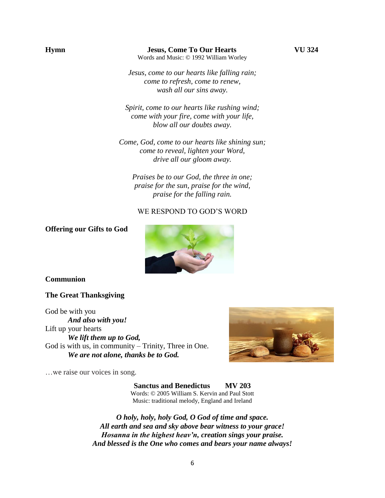*Jesus, come to our hearts like falling rain; come to refresh, come to renew, wash all our sins away.*

*Spirit, come to our hearts like rushing wind; come with your fire, come with your life, blow all our doubts away.*

*Come, God, come to our hearts like shining sun; come to reveal, lighten your Word, drive all our gloom away.*

*Praises be to our God, the three in one; praise for the sun, praise for the wind, praise for the falling rain.*

# WE RESPOND TO GOD'S WORD

### **Offering our Gifts to God**



#### **Communion**

#### **The Great Thanksgiving**

God be with you *And also with you!* Lift up your hearts *We lift them up to God,* God is with us, in community – Trinity, Three in One. *We are not alone, thanks be to God.*

…we raise our voices in song.



**Sanctus and Benedictus MV 203** Words: © 2005 William S. Kervin and Paul Stott Music: traditional melody, England and Ireland

*O holy, holy, holy God, O God of time and space. All earth and sea and sky above bear witness to your grace! Hosanna in the highest heav'n, creation sings your praise. And blessed is the One who comes and bears your name always!*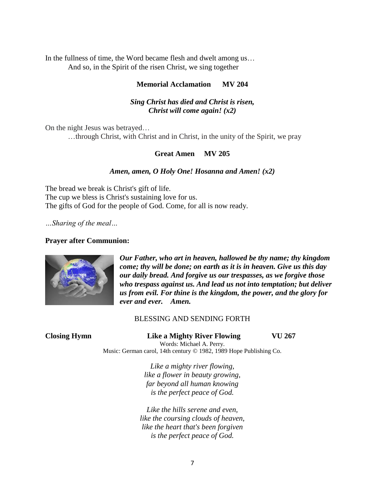In the fullness of time, the Word became flesh and dwelt among us… And so, in the Spirit of the risen Christ, we sing together

# **Memorial Acclamation MV 204**

# *Sing Christ has died and Christ is risen, Christ will come again! (x2)*

On the night Jesus was betrayed… …through Christ, with Christ and in Christ, in the unity of the Spirit, we pray

## **Great Amen MV 205**

#### *Amen, amen, O Holy One! Hosanna and Amen! (x2)*

The bread we break is Christ's gift of life. The cup we bless is Christ's sustaining love for us. The gifts of God for the people of God. Come, for all is now ready.

*…Sharing of the meal…*

#### **Prayer after Communion:**



*Our Father, who art in heaven, hallowed be thy name; thy kingdom come; thy will be done; on earth as it is in heaven. Give us this day our daily bread. And forgive us our trespasses, as we forgive those who trespass against us. And lead us not into temptation; but deliver us from evil. For thine is the kingdom, the power, and the glory for ever and ever. Amen.*

#### BLESSING AND SENDING FORTH

|  | <b>Closing Hymn</b> |
|--|---------------------|
|  |                     |

**Closing Example 267 Closing Example 267 VU 267** Words: Michael A. Perry.

Music: German carol, 14th century © 1982, 1989 Hope Publishing Co.

*Like a mighty river flowing, like a flower in beauty growing, far beyond all human knowing is the perfect peace of God.*

*Like the hills serene and even, like the coursing clouds of heaven, like the heart that's been forgiven is the perfect peace of God.*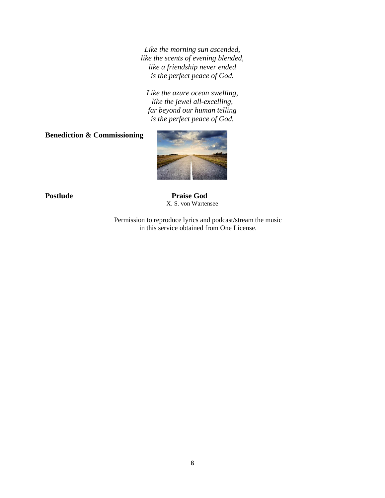*Like the morning sun ascended, like the scents of evening blended, like a friendship never ended is the perfect peace of God.*

*Like the azure ocean swelling, like the jewel all-excelling, far beyond our human telling is the perfect peace of God.*

**Benediction & Commissioning** 



Postlude Praise God X. S. von Wartensee

> Permission to reproduce lyrics and podcast/stream the music in this service obtained from One License.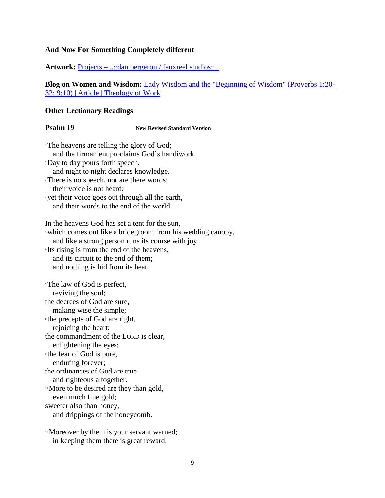# **And Now For Something Completely different**

**Artwork:** Projects – ...:dan bergeron / fauxreel studios:...

**Blog on Women and Wisdom:** [Lady Wisdom and the "Beginning of Wisdom" \(Proverbs 1:20-](https://www.theologyofwork.org/key-topics/women-and-work-in-the-old-testament/lady-wisdom-and-the-beginning-of-wisdom-proverbs-120-32-910) [32; 9:10\) | Article | Theology of Work](https://www.theologyofwork.org/key-topics/women-and-work-in-the-old-testament/lady-wisdom-and-the-beginning-of-wisdom-proverbs-120-32-910)

### **Other Lectionary Readings**

# **Psalm 19 New Revised Standard Version**

<sup>1</sup>The heavens are telling the glory of God; and the firmament proclaims God's handiwork. <sup>2</sup>Day to day pours forth speech, and night to night declares knowledge. <sup>3</sup>There is no speech, nor are there words; their voice is not heard; <sup>4</sup> yet their voice goes out through all the earth, and their words to the end of the world. In the heavens God has set a tent for the sun, <sup>5</sup>which comes out like a bridegroom from his wedding canopy, and like a strong person runs its course with joy. <sup>6</sup> Its rising is from the end of the heavens, and its circuit to the end of them; and nothing is hid from its heat. <sup>7</sup>The law of God is perfect, reviving the soul; the decrees of God are sure, making wise the simple; 8 the precepts of God are right, rejoicing the heart; the commandment of the LORD is clear, enlightening the eyes; 9 the fear of God is pure, enduring forever; the ordinances of God are true and righteous altogether. <sup>10</sup>More to be desired are they than gold, even much fine gold; sweeter also than honey, and drippings of the honeycomb.

<sup>11</sup>Moreover by them is your servant warned; in keeping them there is great reward.